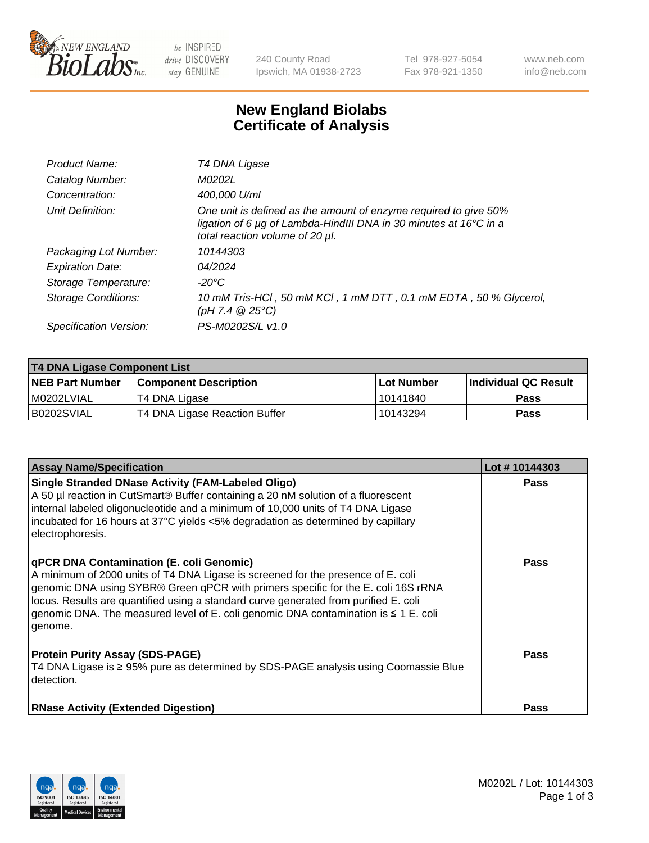

 $be$  INSPIRED drive DISCOVERY stay GENUINE

240 County Road Ipswich, MA 01938-2723 Tel 978-927-5054 Fax 978-921-1350 www.neb.com info@neb.com

## **New England Biolabs Certificate of Analysis**

| Product Name:           | T4 DNA Ligase                                                                                                                                                            |
|-------------------------|--------------------------------------------------------------------------------------------------------------------------------------------------------------------------|
| Catalog Number:         | M0202L                                                                                                                                                                   |
| Concentration:          | 400,000 U/ml                                                                                                                                                             |
| Unit Definition:        | One unit is defined as the amount of enzyme required to give 50%<br>ligation of 6 µg of Lambda-HindIII DNA in 30 minutes at 16°C in a<br>total reaction volume of 20 µl. |
| Packaging Lot Number:   | 10144303                                                                                                                                                                 |
| <b>Expiration Date:</b> | 04/2024                                                                                                                                                                  |
| Storage Temperature:    | $-20^{\circ}$ C                                                                                                                                                          |
| Storage Conditions:     | 10 mM Tris-HCl, 50 mM KCl, 1 mM DTT, 0.1 mM EDTA, 50 % Glycerol,<br>(pH 7.4 $@25°C$ )                                                                                    |
| Specification Version:  | PS-M0202S/L v1.0                                                                                                                                                         |

| T4 DNA Ligase Component List |                               |              |                             |  |
|------------------------------|-------------------------------|--------------|-----------------------------|--|
| <b>NEB Part Number</b>       | l Component Description       | l Lot Number | <b>Individual QC Result</b> |  |
| M0202LVIAL                   | T4 DNA Ligase                 | 10141840     | <b>Pass</b>                 |  |
| B0202SVIAL                   | T4 DNA Ligase Reaction Buffer | 10143294     | <b>Pass</b>                 |  |

| <b>Assay Name/Specification</b>                                                                                                                                                                                                                                                                                                                                                                             | Lot #10144303 |
|-------------------------------------------------------------------------------------------------------------------------------------------------------------------------------------------------------------------------------------------------------------------------------------------------------------------------------------------------------------------------------------------------------------|---------------|
| <b>Single Stranded DNase Activity (FAM-Labeled Oligo)</b><br>A 50 µl reaction in CutSmart® Buffer containing a 20 nM solution of a fluorescent<br>internal labeled oligonucleotide and a minimum of 10,000 units of T4 DNA Ligase<br>incubated for 16 hours at 37°C yields <5% degradation as determined by capillary<br>electrophoresis.                                                                   | <b>Pass</b>   |
| qPCR DNA Contamination (E. coli Genomic)<br>A minimum of 2000 units of T4 DNA Ligase is screened for the presence of E. coli<br>genomic DNA using SYBR® Green qPCR with primers specific for the E. coli 16S rRNA<br>locus. Results are quantified using a standard curve generated from purified E. coli<br>genomic DNA. The measured level of E. coli genomic DNA contamination is ≤ 1 E. coli<br>genome. | <b>Pass</b>   |
| <b>Protein Purity Assay (SDS-PAGE)</b><br>T4 DNA Ligase is ≥ 95% pure as determined by SDS-PAGE analysis using Coomassie Blue<br>detection.                                                                                                                                                                                                                                                                 | Pass          |
| <b>RNase Activity (Extended Digestion)</b>                                                                                                                                                                                                                                                                                                                                                                  | <b>Pass</b>   |

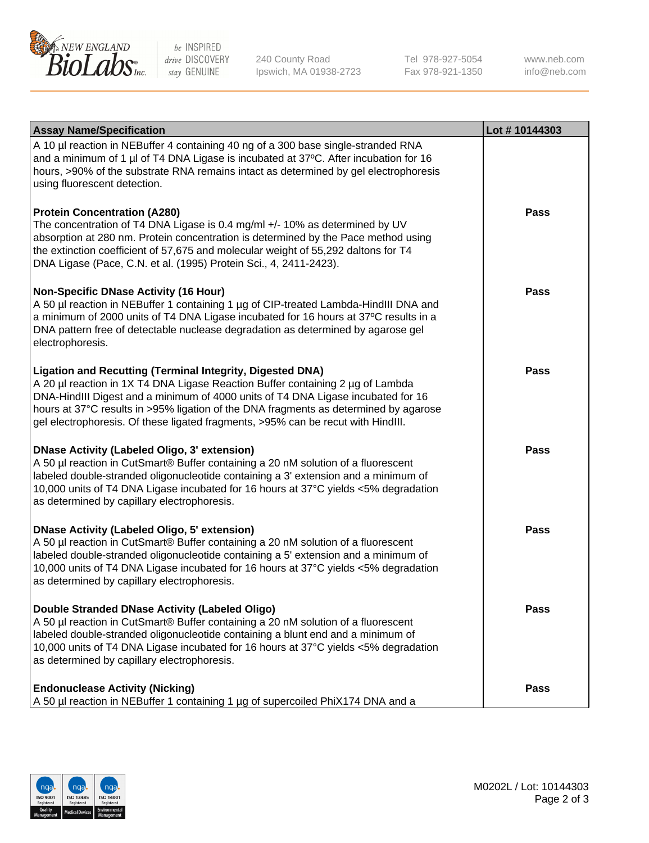

be INSPIRED drive DISCOVERY stay GENUINE

240 County Road Ipswich, MA 01938-2723 Tel 978-927-5054 Fax 978-921-1350

www.neb.com info@neb.com

| <b>Assay Name/Specification</b>                                                                                                                                                                                                                                                                                                                                                                             | Lot #10144303 |
|-------------------------------------------------------------------------------------------------------------------------------------------------------------------------------------------------------------------------------------------------------------------------------------------------------------------------------------------------------------------------------------------------------------|---------------|
| A 10 µl reaction in NEBuffer 4 containing 40 ng of a 300 base single-stranded RNA<br>and a minimum of 1 µl of T4 DNA Ligase is incubated at 37°C. After incubation for 16<br>hours, >90% of the substrate RNA remains intact as determined by gel electrophoresis<br>using fluorescent detection.                                                                                                           |               |
| <b>Protein Concentration (A280)</b><br>The concentration of T4 DNA Ligase is 0.4 mg/ml +/- 10% as determined by UV<br>absorption at 280 nm. Protein concentration is determined by the Pace method using<br>the extinction coefficient of 57,675 and molecular weight of 55,292 daltons for T4<br>DNA Ligase (Pace, C.N. et al. (1995) Protein Sci., 4, 2411-2423).                                         | <b>Pass</b>   |
| <b>Non-Specific DNase Activity (16 Hour)</b><br>A 50 µl reaction in NEBuffer 1 containing 1 µg of CIP-treated Lambda-HindIII DNA and<br>a minimum of 2000 units of T4 DNA Ligase incubated for 16 hours at 37°C results in a<br>DNA pattern free of detectable nuclease degradation as determined by agarose gel<br>electrophoresis.                                                                        | <b>Pass</b>   |
| Ligation and Recutting (Terminal Integrity, Digested DNA)<br>A 20 µl reaction in 1X T4 DNA Ligase Reaction Buffer containing 2 µg of Lambda<br>DNA-HindIII Digest and a minimum of 4000 units of T4 DNA Ligase incubated for 16<br>hours at 37°C results in >95% ligation of the DNA fragments as determined by agarose<br>gel electrophoresis. Of these ligated fragments, >95% can be recut with HindIII. | <b>Pass</b>   |
| <b>DNase Activity (Labeled Oligo, 3' extension)</b><br>A 50 µl reaction in CutSmart® Buffer containing a 20 nM solution of a fluorescent<br>labeled double-stranded oligonucleotide containing a 3' extension and a minimum of<br>10,000 units of T4 DNA Ligase incubated for 16 hours at 37°C yields <5% degradation<br>as determined by capillary electrophoresis.                                        | <b>Pass</b>   |
| <b>DNase Activity (Labeled Oligo, 5' extension)</b><br>A 50 µl reaction in CutSmart® Buffer containing a 20 nM solution of a fluorescent<br>labeled double-stranded oligonucleotide containing a 5' extension and a minimum of<br>10,000 units of T4 DNA Ligase incubated for 16 hours at 37°C yields <5% degradation<br>as determined by capillary electrophoresis.                                        | <b>Pass</b>   |
| Double Stranded DNase Activity (Labeled Oligo)<br>A 50 µl reaction in CutSmart® Buffer containing a 20 nM solution of a fluorescent<br>labeled double-stranded oligonucleotide containing a blunt end and a minimum of<br>10,000 units of T4 DNA Ligase incubated for 16 hours at 37°C yields <5% degradation<br>as determined by capillary electrophoresis.                                                | <b>Pass</b>   |
| <b>Endonuclease Activity (Nicking)</b><br>A 50 µl reaction in NEBuffer 1 containing 1 µg of supercoiled PhiX174 DNA and a                                                                                                                                                                                                                                                                                   | <b>Pass</b>   |